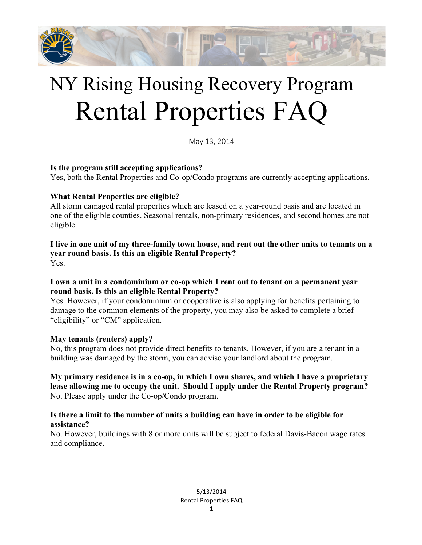

# NY Rising Housing Recovery Program Rental Properties FAQ

May 13, 2014

#### **Is the program still accepting applications?**

Yes, both the Rental Properties and Co-op/Condo programs are currently accepting applications.

# **What Rental Properties are eligible?**

All storm damaged rental properties which are leased on a year-round basis and are located in one of the eligible counties. Seasonal rentals, non-primary residences, and second homes are not eligible.

**I live in one unit of my three-family town house, and rent out the other units to tenants on a year round basis. Is this an eligible Rental Property?** Yes.

#### **I own a unit in a condominium or co-op which I rent out to tenant on a permanent year round basis. Is this an eligible Rental Property?**

Yes. However, if your condominium or cooperative is also applying for benefits pertaining to damage to the common elements of the property, you may also be asked to complete a brief "eligibility" or "CM" application.

#### **May tenants (renters) apply?**

No, this program does not provide direct benefits to tenants. However, if you are a tenant in a building was damaged by the storm, you can advise your landlord about the program.

**My primary residence is in a co-op, in which I own shares, and which I have a proprietary lease allowing me to occupy the unit. Should I apply under the Rental Property program?** No. Please apply under the Co-op/Condo program.

# **Is there a limit to the number of units a building can have in order to be eligible for assistance?**

No. However, buildings with 8 or more units will be subject to federal Davis-Bacon wage rates and compliance.

> 5/13/2014 Rental Properties FAQ 1